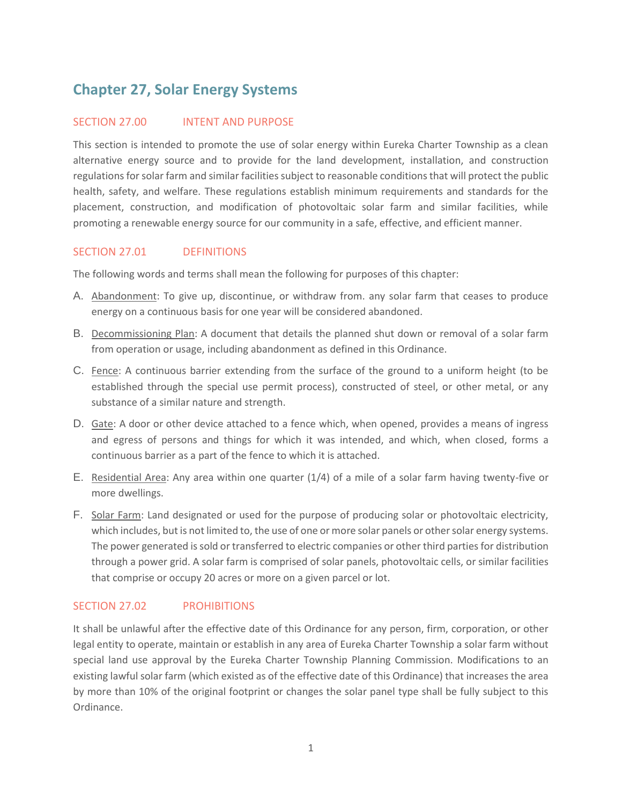# **Chapter 27, Solar Energy Systems**

#### SECTION 27.00 INTENT AND PURPOSE

This section is intended to promote the use of solar energy within Eureka Charter Township as a clean alternative energy source and to provide for the land development, installation, and construction regulations for solar farm and similar facilities subject to reasonable conditions that will protect the public health, safety, and welfare. These regulations establish minimum requirements and standards for the placement, construction, and modification of photovoltaic solar farm and similar facilities, while promoting a renewable energy source for our community in a safe, effective, and efficient manner.

## SECTION 27.01 DEFINITIONS

The following words and terms shall mean the following for purposes of this chapter:

- A. Abandonment: To give up, discontinue, or withdraw from. any solar farm that ceases to produce energy on a continuous basis for one year will be considered abandoned.
- B. Decommissioning Plan: A document that details the planned shut down or removal of a solar farm from operation or usage, including abandonment as defined in this Ordinance.
- C. Fence: A continuous barrier extending from the surface of the ground to a uniform height (to be established through the special use permit process), constructed of steel, or other metal, or any substance of a similar nature and strength.
- D. Gate: A door or other device attached to a fence which, when opened, provides a means of ingress and egress of persons and things for which it was intended, and which, when closed, forms a continuous barrier as a part of the fence to which it is attached.
- E. Residential Area: Any area within one quarter (1/4) of a mile of a solar farm having twenty-five or more dwellings.
- F. Solar Farm: Land designated or used for the purpose of producing solar or photovoltaic electricity, which includes, but is not limited to, the use of one or more solar panels or other solar energy systems. The power generated is sold or transferred to electric companies or other third parties for distribution through a power grid. A solar farm is comprised of solar panels, photovoltaic cells, or similar facilities that comprise or occupy 20 acres or more on a given parcel or lot.

## SECTION 27.02 PROHIBITIONS

It shall be unlawful after the effective date of this Ordinance for any person, firm, corporation, or other legal entity to operate, maintain or establish in any area of Eureka Charter Township a solar farm without special land use approval by the Eureka Charter Township Planning Commission. Modifications to an existing lawful solar farm (which existed as of the effective date of this Ordinance) that increases the area by more than 10% of the original footprint or changes the solar panel type shall be fully subject to this Ordinance.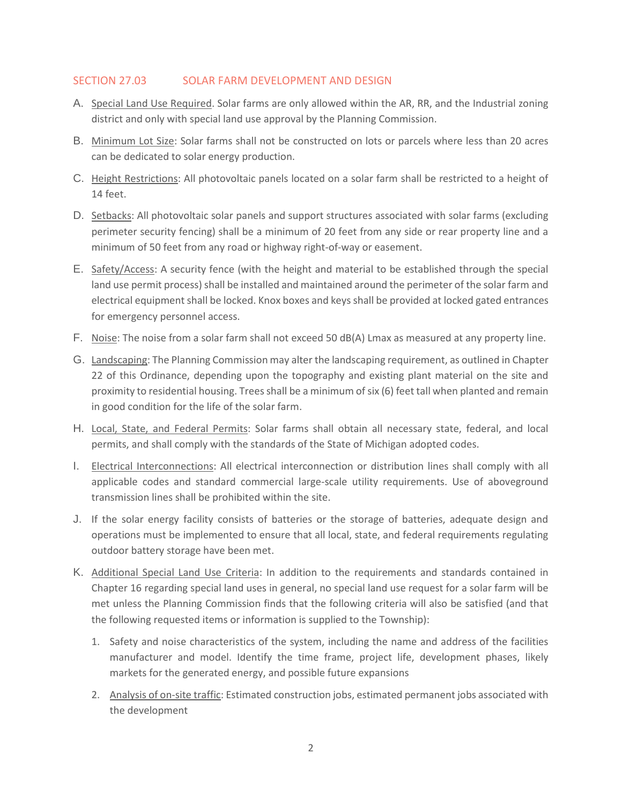## SECTION 27.03 SOLAR FARM DEVELOPMENT AND DESIGN

- A. Special Land Use Required. Solar farms are only allowed within the AR, RR, and the Industrial zoning district and only with special land use approval by the Planning Commission.
- B. Minimum Lot Size: Solar farms shall not be constructed on lots or parcels where less than 20 acres can be dedicated to solar energy production.
- C. Height Restrictions: All photovoltaic panels located on a solar farm shall be restricted to a height of 14 feet.
- D. Setbacks: All photovoltaic solar panels and support structures associated with solar farms (excluding perimeter security fencing) shall be a minimum of 20 feet from any side or rear property line and a minimum of 50 feet from any road or highway right-of-way or easement.
- E. Safety/Access: A security fence (with the height and material to be established through the special land use permit process) shall be installed and maintained around the perimeter of the solar farm and electrical equipment shall be locked. Knox boxes and keys shall be provided at locked gated entrances for emergency personnel access.
- F. Noise: The noise from a solar farm shall not exceed 50 dB(A) Lmax as measured at any property line.
- G. Landscaping: The Planning Commission may alter the landscaping requirement, as outlined in Chapter 22 of this Ordinance, depending upon the topography and existing plant material on the site and proximity to residential housing. Trees shall be a minimum of six (6) feet tall when planted and remain in good condition for the life of the solar farm.
- H. Local, State, and Federal Permits: Solar farms shall obtain all necessary state, federal, and local permits, and shall comply with the standards of the State of Michigan adopted codes.
- I. Electrical Interconnections: All electrical interconnection or distribution lines shall comply with all applicable codes and standard commercial large-scale utility requirements. Use of aboveground transmission lines shall be prohibited within the site.
- J. If the solar energy facility consists of batteries or the storage of batteries, adequate design and operations must be implemented to ensure that all local, state, and federal requirements regulating outdoor battery storage have been met.
- K. Additional Special Land Use Criteria: In addition to the requirements and standards contained in Chapter 16 regarding special land uses in general, no special land use request for a solar farm will be met unless the Planning Commission finds that the following criteria will also be satisfied (and that the following requested items or information is supplied to the Township):
	- 1. Safety and noise characteristics of the system, including the name and address of the facilities manufacturer and model. Identify the time frame, project life, development phases, likely markets for the generated energy, and possible future expansions
	- 2. Analysis of on-site traffic: Estimated construction jobs, estimated permanent jobs associated with the development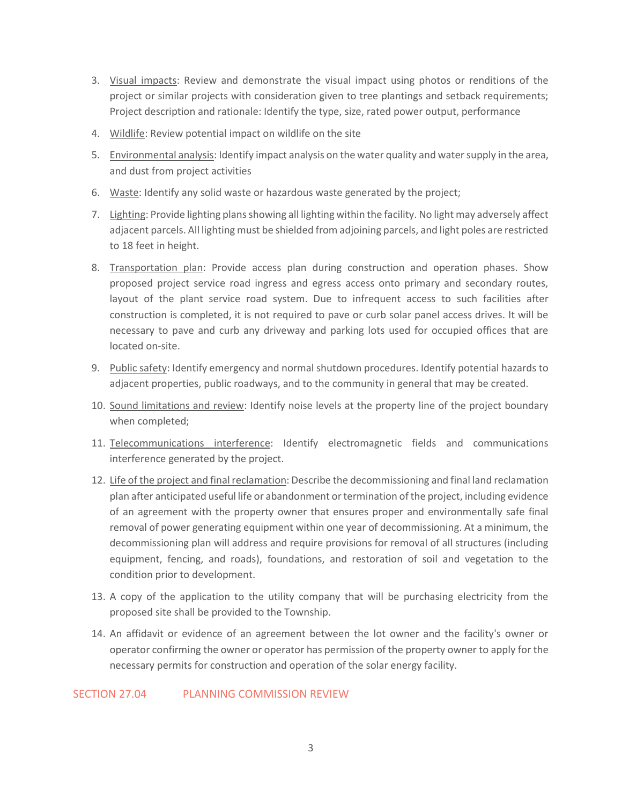- 3. Visual impacts: Review and demonstrate the visual impact using photos or renditions of the project or similar projects with consideration given to tree plantings and setback requirements; Project description and rationale: Identify the type, size, rated power output, performance
- 4. Wildlife: Review potential impact on wildlife on the site
- 5. Environmental analysis: Identify impact analysis on the water quality and water supply in the area, and dust from project activities
- 6. Waste: Identify any solid waste or hazardous waste generated by the project;
- 7. Lighting: Provide lighting plans showing all lighting within the facility. No light may adversely affect adjacent parcels. All lighting must be shielded from adjoining parcels, and light poles are restricted to 18 feet in height.
- 8. Transportation plan: Provide access plan during construction and operation phases. Show proposed project service road ingress and egress access onto primary and secondary routes, layout of the plant service road system. Due to infrequent access to such facilities after construction is completed, it is not required to pave or curb solar panel access drives. It will be necessary to pave and curb any driveway and parking lots used for occupied offices that are located on-site.
- 9. Public safety: Identify emergency and normal shutdown procedures. Identify potential hazards to adjacent properties, public roadways, and to the community in general that may be created.
- 10. Sound limitations and review: Identify noise levels at the property line of the project boundary when completed;
- 11. Telecommunications interference: Identify electromagnetic fields and communications interference generated by the project.
- 12. Life of the project and final reclamation: Describe the decommissioning and final land reclamation plan after anticipated useful life or abandonment or termination of the project, including evidence of an agreement with the property owner that ensures proper and environmentally safe final removal of power generating equipment within one year of decommissioning. At a minimum, the decommissioning plan will address and require provisions for removal of all structures (including equipment, fencing, and roads), foundations, and restoration of soil and vegetation to the condition prior to development.
- 13. A copy of the application to the utility company that will be purchasing electricity from the proposed site shall be provided to the Township.
- 14. An affidavit or evidence of an agreement between the lot owner and the facility's owner or operator confirming the owner or operator has permission of the property owner to apply for the necessary permits for construction and operation of the solar energy facility.

## SECTION 27.04 PLANNING COMMISSION REVIEW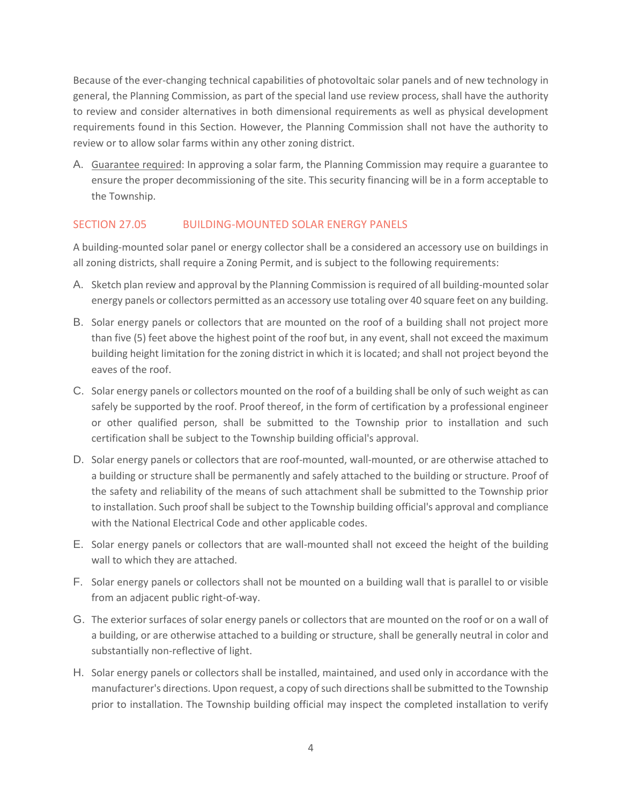Because of the ever-changing technical capabilities of photovoltaic solar panels and of new technology in general, the Planning Commission, as part of the special land use review process, shall have the authority to review and consider alternatives in both dimensional requirements as well as physical development requirements found in this Section. However, the Planning Commission shall not have the authority to review or to allow solar farms within any other zoning district.

A. Guarantee required: In approving a solar farm, the Planning Commission may require a guarantee to ensure the proper decommissioning of the site. This security financing will be in a form acceptable to the Township.

## SECTION 27.05 BUILDING-MOUNTED SOLAR ENERGY PANELS

A building-mounted solar panel or energy collector shall be a considered an accessory use on buildings in all zoning districts, shall require a Zoning Permit, and is subject to the following requirements:

- A. Sketch plan review and approval by the Planning Commission is required of all building-mounted solar energy panels or collectors permitted as an accessory use totaling over 40 square feet on any building.
- B. Solar energy panels or collectors that are mounted on the roof of a building shall not project more than five (5) feet above the highest point of the roof but, in any event, shall not exceed the maximum building height limitation for the zoning district in which it is located; and shall not project beyond the eaves of the roof.
- C. Solar energy panels or collectors mounted on the roof of a building shall be only of such weight as can safely be supported by the roof. Proof thereof, in the form of certification by a professional engineer or other qualified person, shall be submitted to the Township prior to installation and such certification shall be subject to the Township building official's approval.
- D. Solar energy panels or collectors that are roof-mounted, wall-mounted, or are otherwise attached to a building or structure shall be permanently and safely attached to the building or structure. Proof of the safety and reliability of the means of such attachment shall be submitted to the Township prior to installation. Such proof shall be subject to the Township building official's approval and compliance with the National Electrical Code and other applicable codes.
- E. Solar energy panels or collectors that are wall-mounted shall not exceed the height of the building wall to which they are attached.
- F. Solar energy panels or collectors shall not be mounted on a building wall that is parallel to or visible from an adjacent public right-of-way.
- G. The exterior surfaces of solar energy panels or collectors that are mounted on the roof or on a wall of a building, or are otherwise attached to a building or structure, shall be generally neutral in color and substantially non-reflective of light.
- H. Solar energy panels or collectors shall be installed, maintained, and used only in accordance with the manufacturer's directions. Upon request, a copy of such directions shall be submitted to the Township prior to installation. The Township building official may inspect the completed installation to verify